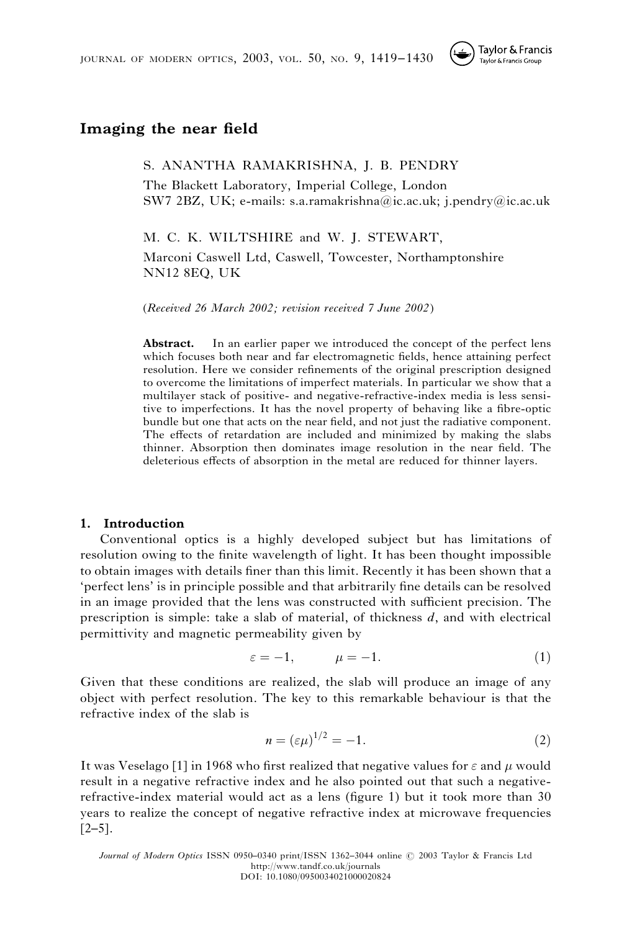

# Imaging the near field

S. ANANTHA RAMAKRISHNA, J. B. PENDRY

The Blackett Laboratory, Imperial College, London SW7 2BZ, UK; e-mails: s.a.ramakrishna@ic.ac.uk; j.pendry@ic.ac.uk

M. C. K. WILTSHIRE and W. J. STEWART,

Marconi Caswell Ltd, Caswell, Towcester, Northamptonshire NN12 8EQ, UK

(Received 26 March 2002; revision received 7 June 2002)

Abstract. In an earlier paper we introduced the concept of the perfect lens which focuses both near and far electromagnetic fields, hence attaining perfect resolution. Here we consider refinements of the original prescription designed to overcome the limitations of imperfect materials. In particular we show that a multilayer stack of positive- and negative-refractive-index media is less sensitive to imperfections. It has the novel property of behaving like a fibre-optic bundle but one that acts on the near field, and not just the radiative component. The effects of retardation are included and minimized by making the slabs thinner. Absorption then dominates image resolution in the near field. The deleterious effects of absorption in the metal are reduced for thinner layers.

## 1. Introduction

Conventional optics is a highly developed subject but has limitations of resolution owing to the finite wavelength of light. It has been thought impossible to obtain images with details finer than this limit. Recently it has been shown that a 'perfect lens' is in principle possible and that arbitrarily fine details can be resolved in an image provided that the lens was constructed with sufficient precision. The prescription is simple: take a slab of material, of thickness  $d$ , and with electrical permittivity and magnetic permeability given by

$$
\varepsilon = -1, \qquad \mu = -1. \tag{1}
$$

Given that these conditions are realized, the slab will produce an image of any object with perfect resolution. The key to this remarkable behaviour is that the refractive index of the slab is

$$
n = \left(\varepsilon \mu\right)^{1/2} = -1. \tag{2}
$$

It was Veselago [1] in 1968 who first realized that negative values for  $\varepsilon$  and  $\mu$  would result in a negative refractive index and he also pointed out that such a negativerefractive-index material would act as a lens (figure 1) but it took more than 30 years to realize the concept of negative refractive index at microwave frequencies  $[2-5]$ .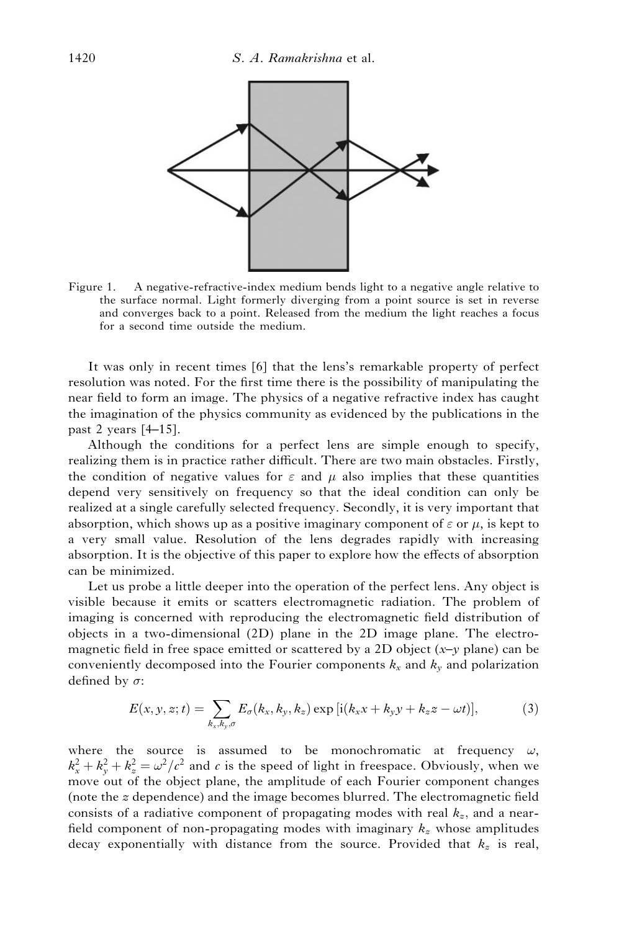

Figure 1. A negative-refractive-index medium bends light to a negative angle relative to the surface normal. Light formerly diverging from a point source is set in reverse and converges back to a point. Released from the medium the light reaches a focus for a second time outside the medium.

It was only in recent times [6] that the lens's remarkable property of perfect resolution was noted. For the first time there is the possibility of manipulating the near field to form an image. The physics of a negative refractive index has caught the imagination of the physics community as evidenced by the publications in the past 2 years [4–15].

Although the conditions for a perfect lens are simple enough to specify, realizing them is in practice rather difficult. There are two main obstacles. Firstly, the condition of negative values for  $\varepsilon$  and  $\mu$  also implies that these quantities depend very sensitively on frequency so that the ideal condition can only be realized at a single carefully selected frequency. Secondly, it is very important that absorption, which shows up as a positive imaginary component of  $\varepsilon$  or  $\mu$ , is kept to a very small value. Resolution of the lens degrades rapidly with increasing absorption. It is the objective of this paper to explore how the effects of absorption can be minimized.

Let us probe a little deeper into the operation of the perfect lens. Any object is visible because it emits or scatters electromagnetic radiation. The problem of imaging is concerned with reproducing the electromagnetic field distribution of objects in a two-dimensional (2D) plane in the 2D image plane. The electromagnetic field in free space emitted or scattered by a 2D object  $(x-y)$  plane) can be conveniently decomposed into the Fourier components  $k_x$  and  $k_y$  and polarization defined by  $\sigma$ :

$$
E(x, y, z; t) = \sum_{k_x, k_y, \sigma} E_{\sigma}(k_x, k_y, k_z) \exp[i(k_x x + k_y y + k_z z - \omega t)],
$$
\n(3)

where the source is assumed to be monochromatic at frequency  $\omega$ ,  $k_x^2 + k_y^2 + k_z^2 = \omega^2/c^2$  and c is the speed of light in freespace. Obviously, when we move out of the object plane, the amplitude of each Fourier component changes (note the z dependence) and the image becomes blurred. The electromagnetic field consists of a radiative component of propagating modes with real  $k<sub>x</sub>$ , and a nearfield component of non-propagating modes with imaginary  $k<sub>z</sub>$  whose amplitudes decay exponentially with distance from the source. Provided that  $k_z$  is real,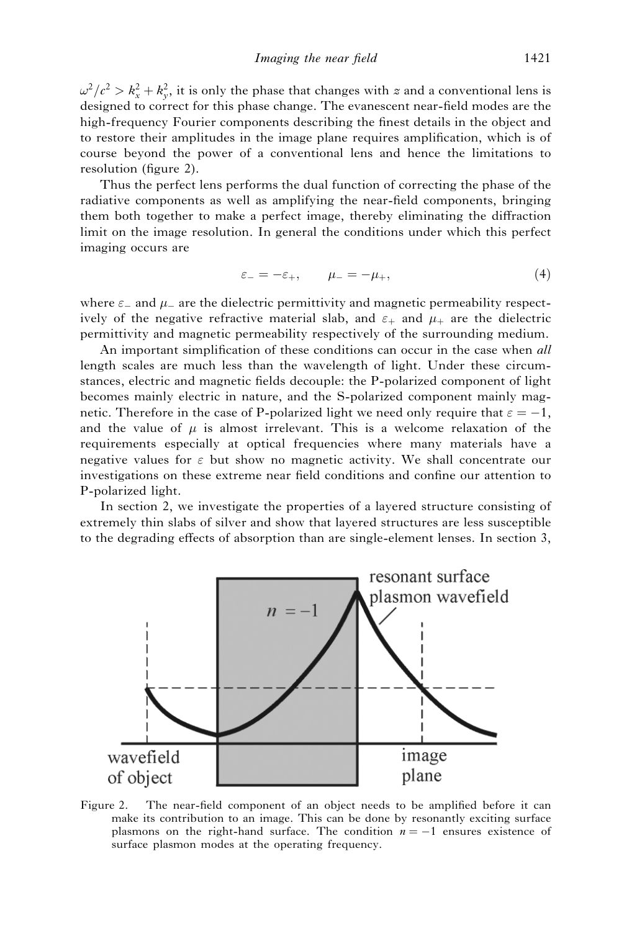$\omega^2/c^2 > k_x^2 + k_y^2$ , it is only the phase that changes with z and a conventional lens is designed to correct for this phase change. The evanescent near-field modes are the high-frequency Fourier components describing the finest details in the object and to restore their amplitudes in the image plane requires amplification, which is of course beyond the power of a conventional lens and hence the limitations to resolution (figure 2).

Thus the perfect lens performs the dual function of correcting the phase of the radiative components as well as amplifying the near-field components, bringing them both together to make a perfect image, thereby eliminating the diffraction limit on the image resolution. In general the conditions under which this perfect imaging occurs are

$$
\varepsilon_- = -\varepsilon_+, \qquad \mu_- = -\mu_+, \tag{4}
$$

where  $\varepsilon$  and  $\mu$  are the dielectric permittivity and magnetic permeability respectively of the negative refractive material slab, and  $\varepsilon_+$  and  $\mu_+$  are the dielectric permittivity and magnetic permeability respectively of the surrounding medium.

An important simplification of these conditions can occur in the case when all length scales are much less than the wavelength of light. Under these circumstances, electric and magnetic fields decouple: the P-polarized component of light becomes mainly electric in nature, and the S-polarized component mainly magnetic. Therefore in the case of P-polarized light we need only require that  $\varepsilon = -1$ , and the value of  $\mu$  is almost irrelevant. This is a welcome relaxation of the requirements especially at optical frequencies where many materials have a negative values for  $\varepsilon$  but show no magnetic activity. We shall concentrate our investigations on these extreme near field conditions and confine our attention to P-polarized light.

In section 2, we investigate the properties of a layered structure consisting of extremely thin slabs of silver and show that layered structures are less susceptible to the degrading effects of absorption than are single-element lenses. In section 3,



Figure 2. The near-field component of an object needs to be amplified before it can make its contribution to an image. This can be done by resonantly exciting surface plasmons on the right-hand surface. The condition  $n = -1$  ensures existence of surface plasmon modes at the operating frequency.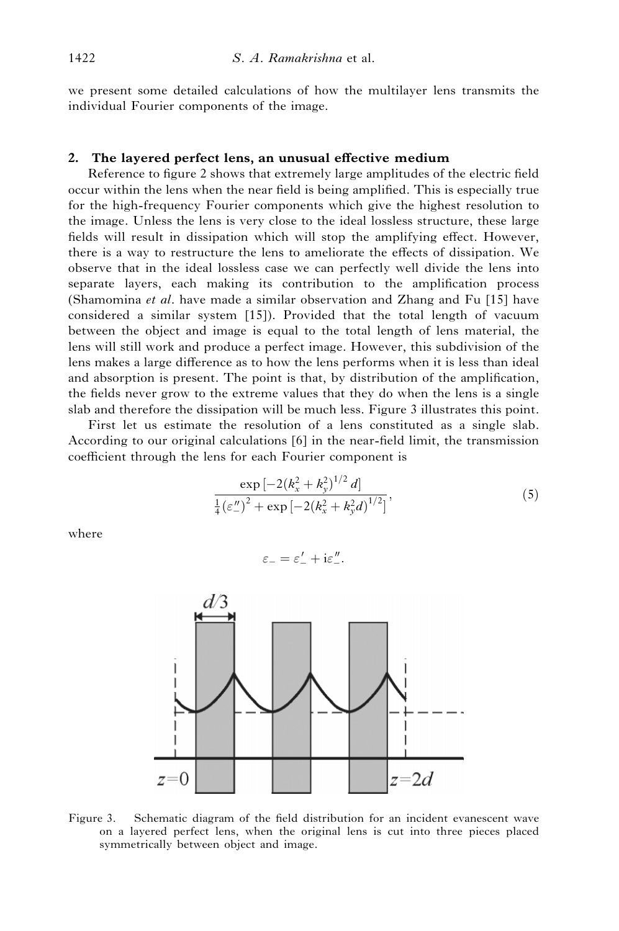we present some detailed calculations of how the multilayer lens transmits the individual Fourier components of the image.

#### 2. The layered perfect lens, an unusual effective medium

Reference to figure 2 shows that extremely large amplitudes of the electric field occur within the lens when the near field is being amplified. This is especially true for the high-frequency Fourier components which give the highest resolution to the image. Unless the lens is very close to the ideal lossless structure, these large fields will result in dissipation which will stop the amplifying effect. However, there is a way to restructure the lens to ameliorate the effects of dissipation. We observe that in the ideal lossless case we can perfectly well divide the lens into separate layers, each making its contribution to the amplification process (Shamomina et al. have made a similar observation and Zhang and Fu [15] have considered a similar system [15]). Provided that the total length of vacuum between the object and image is equal to the total length of lens material, the lens will still work and produce a perfect image. However, this subdivision of the lens makes a large difference as to how the lens performs when it is less than ideal and absorption is present. The point is that, by distribution of the amplification, the fields never grow to the extreme values that they do when the lens is a single slab and therefore the dissipation will be much less. Figure 3 illustrates this point.

First let us estimate the resolution of a lens constituted as a single slab. According to our original calculations [6] in the near-field limit, the transmission coefficient through the lens for each Fourier component is

$$
\frac{\exp\left[-2\left(k_x^2 + k_y^2\right)^{1/2} d\right]}{\frac{1}{4}\left(\varepsilon_{-}^{\prime\prime}\right)^2 + \exp\left[-2\left(k_x^2 + k_y^2 d\right)^{1/2}\right]},\tag{5}
$$

where

$$
\varepsilon_- = \varepsilon_-' + i\varepsilon_-''.
$$



Figure 3. Schematic diagram of the field distribution for an incident evanescent wave on a layered perfect lens, when the original lens is cut into three pieces placed symmetrically between object and image.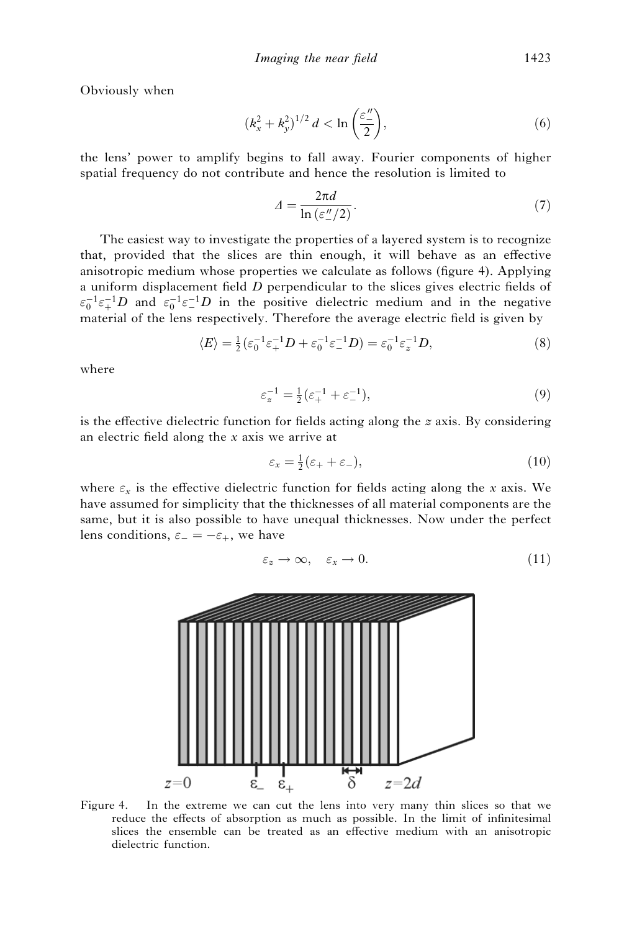Obviously when

$$
(k_x^2 + k_y^2)^{1/2} d < \ln\left(\frac{\varepsilon_{\perp}^{\prime\prime}}{2}\right),\tag{6}
$$

the lens' power to amplify begins to fall away. Fourier components of higher spatial frequency do not contribute and hence the resolution is limited to

$$
\Delta = \frac{2\pi d}{\ln\left(\varepsilon \frac{n}{2}\right)}.\tag{7}
$$

The easiest way to investigate the properties of a layered system is to recognize that, provided that the slices are thin enough, it will behave as an effective anisotropic medium whose properties we calculate as follows (figure 4). Applying a uniform displacement field  $D$  perpendicular to the slices gives electric fields of  $\epsilon_0^{-1} \epsilon_+^{-1} D$  and  $\epsilon_0^{-1} \epsilon_-^{-1} D$  in the positive dielectric medium and in the negative material of the lens respectively. Therefore the average electric field is given by

$$
\langle E \rangle = \frac{1}{2} (\varepsilon_0^{-1} \varepsilon_+^{-1} D + \varepsilon_0^{-1} \varepsilon_-^{-1} D) = \varepsilon_0^{-1} \varepsilon_z^{-1} D,\tag{8}
$$

where

$$
\varepsilon_z^{-1} = \frac{1}{2} (\varepsilon_+^{-1} + \varepsilon_-^{-1}),\tag{9}
$$

is the effective dielectric function for fields acting along the  $z$  axis. By considering an electric field along the x axis we arrive at

$$
\varepsilon_x = \frac{1}{2} (\varepsilon_+ + \varepsilon_-), \tag{10}
$$

where  $\varepsilon_x$  is the effective dielectric function for fields acting along the x axis. We have assumed for simplicity that the thicknesses of all material components are the same, but it is also possible to have unequal thicknesses. Now under the perfect lens conditions,  $\varepsilon_- = -\varepsilon_+$ , we have

$$
\varepsilon_z \to \infty, \quad \varepsilon_x \to 0. \tag{11}
$$



Figure 4. In the extreme we can cut the lens into very many thin slices so that we reduce the effects of absorption as much as possible. In the limit of infinitesimal slices the ensemble can be treated as an effective medium with an anisotropic dielectric function.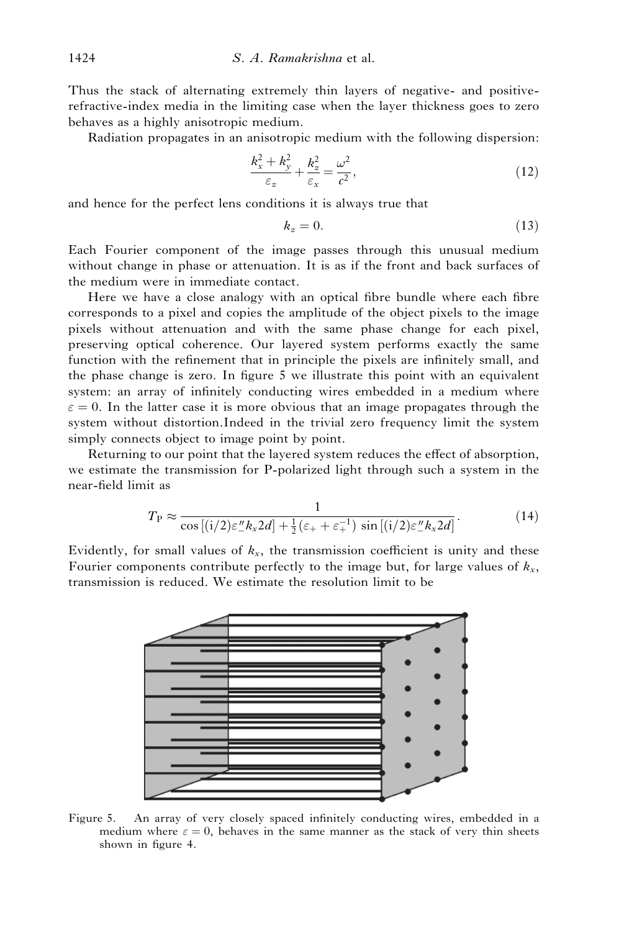Thus the stack of alternating extremely thin layers of negative- and positiverefractive-index media in the limiting case when the layer thickness goes to zero behaves as a highly anisotropic medium.

Radiation propagates in an anisotropic medium with the following dispersion:

$$
\frac{k_x^2 + k_y^2}{\varepsilon_x} + \frac{k_z^2}{\varepsilon_x} = \frac{\omega^2}{c^2},\tag{12}
$$

and hence for the perfect lens conditions it is always true that

$$
k_z = 0.\t\t(13)
$$

Each Fourier component of the image passes through this unusual medium without change in phase or attenuation. It is as if the front and back surfaces of the medium were in immediate contact.

Here we have a close analogy with an optical fibre bundle where each fibre corresponds to a pixel and copies the amplitude of the object pixels to the image pixels without attenuation and with the same phase change for each pixel, preserving optical coherence. Our layered system performs exactly the same function with the refinement that in principle the pixels are infinitely small, and the phase change is zero. In figure 5 we illustrate this point with an equivalent system: an array of infinitely conducting wires embedded in a medium where  $\varepsilon = 0$ . In the latter case it is more obvious that an image propagates through the system without distortion.Indeed in the trivial zero frequency limit the system simply connects object to image point by point.

Returning to our point that the layered system reduces the effect of absorption, we estimate the transmission for P-polarized light through such a system in the near-field limit as

$$
T_{\rm P} \approx \frac{1}{\cos\left[(i/2)\varepsilon_{-}^{\prime\prime}k_{x}2d\right] + \frac{1}{2}(\varepsilon_{+} + \varepsilon_{+}^{-1})\sin\left[(i/2)\varepsilon_{-}^{\prime\prime}k_{x}2d\right]}.
$$
 (14)

Evidently, for small values of  $k_x$ , the transmission coefficient is unity and these Fourier components contribute perfectly to the image but, for large values of  $k_x$ , transmission is reduced. We estimate the resolution limit to be



Figure 5. An array of very closely spaced infinitely conducting wires, embedded in a medium where  $\varepsilon = 0$ , behaves in the same manner as the stack of very thin sheets shown in figure 4.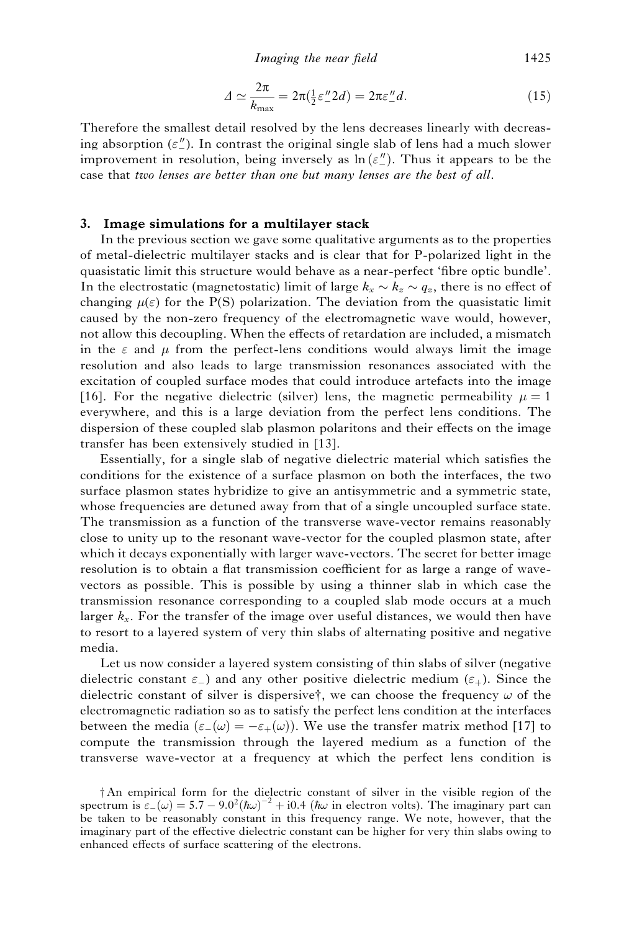Imaging the near field 1425

$$
\Delta \simeq \frac{2\pi}{k_{\text{max}}} = 2\pi \left(\frac{1}{2}\varepsilon'' \cdot 2d\right) = 2\pi \varepsilon'' \cdot d. \tag{15}
$$

Therefore the smallest detail resolved by the lens decreases linearly with decreasing absorption  $(\varepsilon_{\perp}^{\prime\prime})$ . In contrast the original single slab of lens had a much slower improvement in resolution, being inversely as  $\ln(\varepsilon_{-}^{\prime\prime})$ . Thus it appears to be the case that two lenses are better than one but many lenses are the best of all.

#### 3. Image simulations for a multilayer stack

In the previous section we gave some qualitative arguments as to the properties of metal-dielectric multilayer stacks and is clear that for P-polarized light in the quasistatic limit this structure would behave as a near-perfect 'fibre optic bundle'. In the electrostatic (magnetostatic) limit of large  $k_x \sim k_z \sim q_z$ , there is no effect of changing  $\mu(\varepsilon)$  for the P(S) polarization. The deviation from the quasistatic limit caused by the non-zero frequency of the electromagnetic wave would, however, not allow this decoupling. When the effects of retardation are included, a mismatch in the  $\varepsilon$  and  $\mu$  from the perfect-lens conditions would always limit the image resolution and also leads to large transmission resonances associated with the excitation of coupled surface modes that could introduce artefacts into the image [16]. For the negative dielectric (silver) lens, the magnetic permeability  $\mu = 1$ everywhere, and this is a large deviation from the perfect lens conditions. The dispersion of these coupled slab plasmon polaritons and their effects on the image transfer has been extensively studied in [13].

Essentially, for a single slab of negative dielectric material which satisfies the conditions for the existence of a surface plasmon on both the interfaces, the two surface plasmon states hybridize to give an antisymmetric and a symmetric state, whose frequencies are detuned away from that of a single uncoupled surface state. The transmission as a function of the transverse wave-vector remains reasonably close to unity up to the resonant wave-vector for the coupled plasmon state, after which it decays exponentially with larger wave-vectors. The secret for better image resolution is to obtain a flat transmission coefficient for as large a range of wavevectors as possible. This is possible by using a thinner slab in which case the transmission resonance corresponding to a coupled slab mode occurs at a much larger  $k_x$ . For the transfer of the image over useful distances, we would then have to resort to a layered system of very thin slabs of alternating positive and negative media.

Let us now consider a layered system consisting of thin slabs of silver (negative dielectric constant  $\varepsilon$ -) and any other positive dielectric medium ( $\varepsilon$ +). Since the dielectric constant of silver is dispersive<sup>†</sup>, we can choose the frequency  $\omega$  of the electromagnetic radiation so as to satisfy the perfect lens condition at the interfaces between the media  $(\varepsilon_-(\omega) = -\varepsilon_+(\omega))$ . We use the transfer matrix method [17] to compute the transmission through the layered medium as a function of the transverse wave-vector at a frequency at which the perfect lens condition is

 $\dagger$ An empirical form for the dielectric constant of silver in the visible region of the spectrum is  $\varepsilon_-(\omega) = 5.7 - 9.0^2(\hbar\omega)^{-2} + 0.4$  ( $\hbar\omega$  in electron volts). The imaginary part can be taken to be reasonably constant in this frequency range. We note, however, that the imaginary part of the effective dielectric constant can be higher for very thin slabs owing to enhanced effects of surface scattering of the electrons.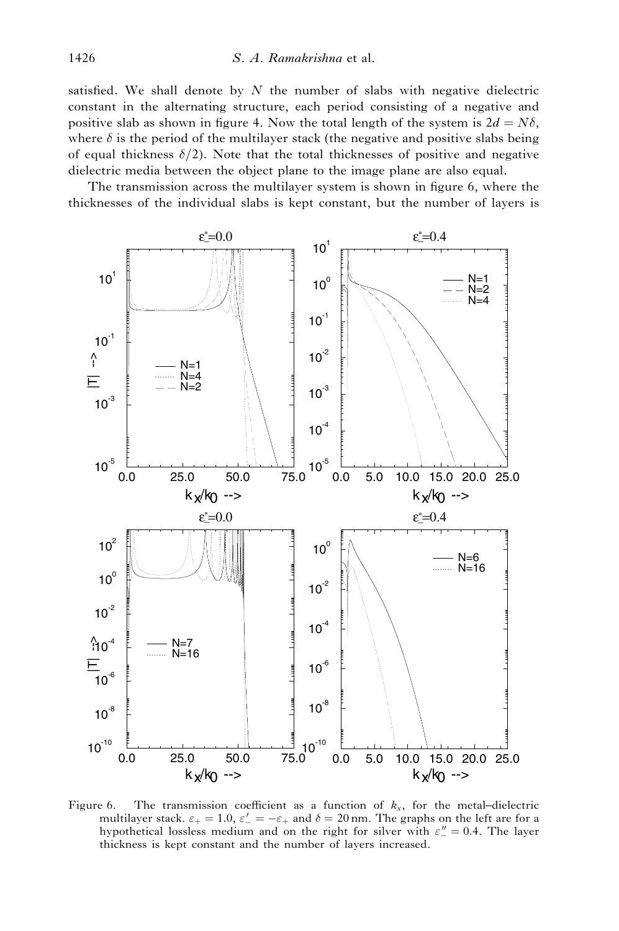satisfied. We shall denote by  $N$  the number of slabs with negative dielectric constant in the alternating structure, each period consisting of a negative and positive slab as shown in figure 4. Now the total length of the system is  $2d = N\delta$ , where  $\delta$  is the period of the multilayer stack (the negative and positive slabs being of equal thickness  $\delta/2$ ). Note that the total thicknesses of positive and negative dielectric media between the object plane to the image plane are also equal.

The transmission across the multilayer system is shown in figure 6, where the thicknesses of the individual slabs is kept constant, but the number of layers is



Figure 6. The transmission coefficient as a function of  $k_x$ , for the metal–dielectric multilayer stack.  $\varepsilon_+ = 1.0$ ,  $\varepsilon_-' = -\varepsilon_+$  and  $\delta = 20$  nm. The graphs on the left are for a hypothetical lossless medium and on the right for silver with  $\varepsilon'' = 0.4$ . The layer thickness is kept constant and the number of layers increased.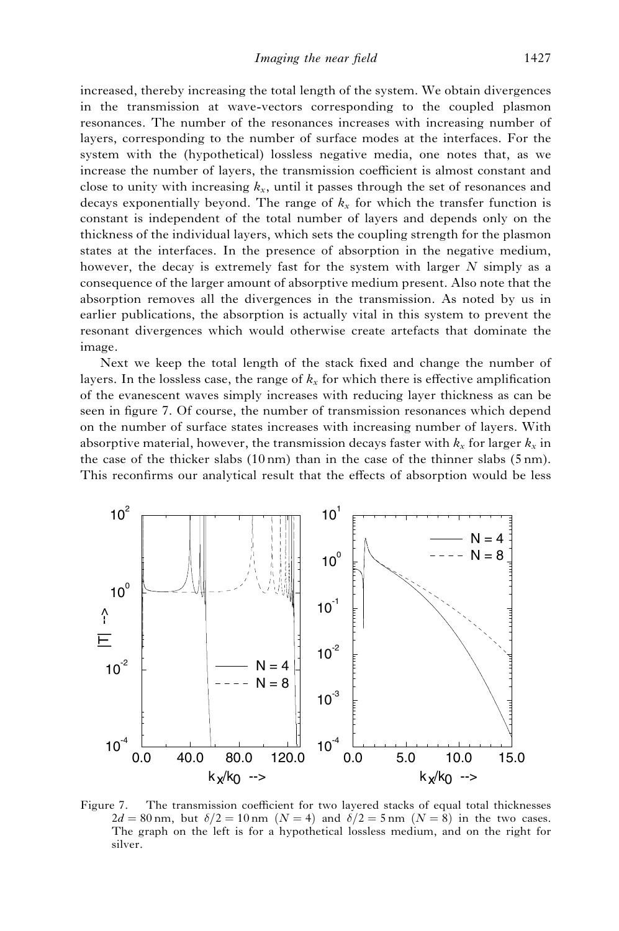increased, thereby increasing the total length of the system. We obtain divergences in the transmission at wave-vectors corresponding to the coupled plasmon resonances. The number of the resonances increases with increasing number of layers, corresponding to the number of surface modes at the interfaces. For the system with the (hypothetical) lossless negative media, one notes that, as we increase the number of layers, the transmission coefficient is almost constant and close to unity with increasing  $k_x$ , until it passes through the set of resonances and decays exponentially beyond. The range of  $k_x$  for which the transfer function is constant is independent of the total number of layers and depends only on the thickness of the individual layers, which sets the coupling strength for the plasmon states at the interfaces. In the presence of absorption in the negative medium, however, the decay is extremely fast for the system with larger  $N$  simply as a consequence of the larger amount of absorptive medium present. Also note that the absorption removes all the divergences in the transmission. As noted by us in earlier publications, the absorption is actually vital in this system to prevent the resonant divergences which would otherwise create artefacts that dominate the image.

Next we keep the total length of the stack fixed and change the number of layers. In the lossless case, the range of  $k_x$  for which there is effective amplification of the evanescent waves simply increases with reducing layer thickness as can be seen in figure 7. Of course, the number of transmission resonances which depend on the number of surface states increases with increasing number of layers. With absorptive material, however, the transmission decays faster with  $k_x$  for larger  $k_x$  in the case of the thicker slabs (10 nm) than in the case of the thinner slabs (5 nm). This reconfirms our analytical result that the effects of absorption would be less



Figure 7. The transmission coefficient for two layered stacks of equal total thicknesses  $2d = 80$  nm, but  $\delta/2 = 10$  nm  $(N = 4)$  and  $\delta/2 = 5$  nm  $(N = 8)$  in the two cases. The graph on the left is for a hypothetical lossless medium, and on the right for silver.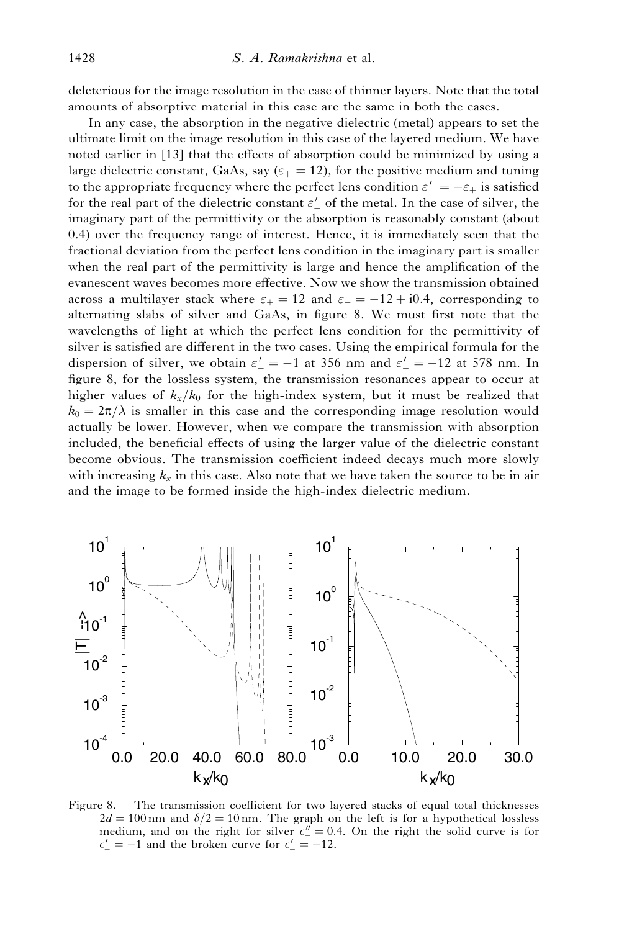deleterious for the image resolution in the case of thinner layers. Note that the total amounts of absorptive material in this case are the same in both the cases.

In any case, the absorption in the negative dielectric (metal) appears to set the ultimate limit on the image resolution in this case of the layered medium. We have noted earlier in [13] that the effects of absorption could be minimized by using a large dielectric constant, GaAs, say ( $\varepsilon_{+} = 12$ ), for the positive medium and tuning to the appropriate frequency where the perfect lens condition  $\varepsilon'_{-} = -\varepsilon_{+}$  is satisfied for the real part of the dielectric constant  $\varepsilon'_{-}$  of the metal. In the case of silver, the imaginary part of the permittivity or the absorption is reasonably constant (about 0.4) over the frequency range of interest. Hence, it is immediately seen that the fractional deviation from the perfect lens condition in the imaginary part is smaller when the real part of the permittivity is large and hence the amplification of the evanescent waves becomes more effective. Now we show the transmission obtained across a multilayer stack where  $\varepsilon_+ = 12$  and  $\varepsilon_- = -12 + i0.4$ , corresponding to alternating slabs of silver and GaAs, in figure 8. We must first note that the wavelengths of light at which the perfect lens condition for the permittivity of silver is satisfied are different in the two cases. Using the empirical formula for the dispersion of silver, we obtain  $\varepsilon' = -1$  at 356 nm and  $\varepsilon' = -12$  at 578 nm. In figure 8, for the lossless system, the transmission resonances appear to occur at higher values of  $k_x/k_0$  for the high-index system, but it must be realized that  $k_0 = 2\pi/\lambda$  is smaller in this case and the corresponding image resolution would actually be lower. However, when we compare the transmission with absorption included, the beneficial effects of using the larger value of the dielectric constant become obvious. The transmission coefficient indeed decays much more slowly with increasing  $k_x$  in this case. Also note that we have taken the source to be in air and the image to be formed inside the high-index dielectric medium.



Figure 8. The transmission coefficient for two layered stacks of equal total thicknesses  $2d = 100$  nm and  $\delta/2 = 10$  nm. The graph on the left is for a hypothetical lossless medium, and on the right for silver  $\epsilon_{-}^{"}=0.4$ . On the right the solid curve is for  $\epsilon' = -1$  and the broken curve for  $\epsilon' = -12$ .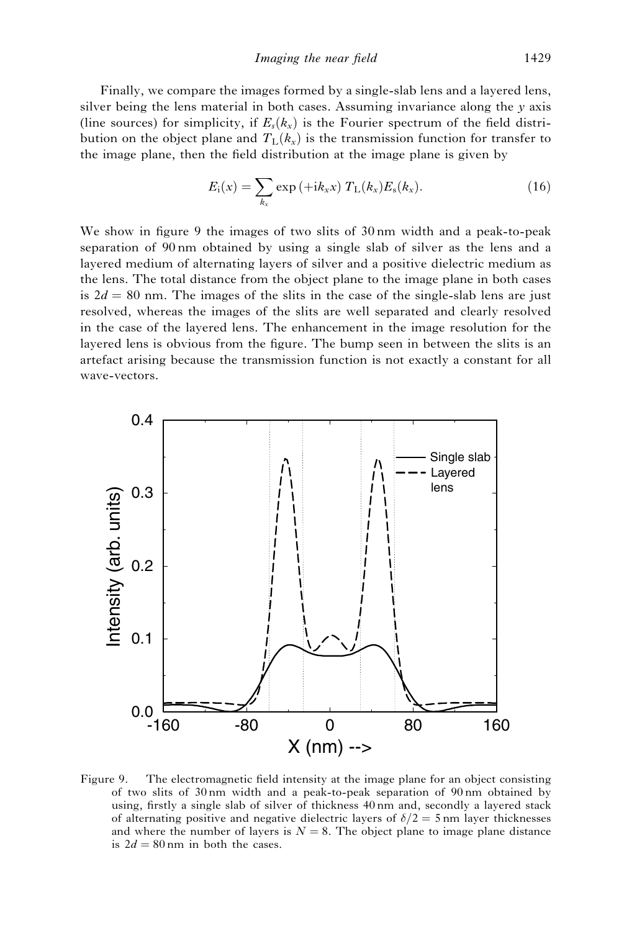Finally, we compare the images formed by a single-slab lens and a layered lens, silver being the lens material in both cases. Assuming invariance along the  $\gamma$  axis (line sources) for simplicity, if  $E<sub>s</sub>(k<sub>x</sub>)$  is the Fourier spectrum of the field distribution on the object plane and  $T_L(k_x)$  is the transmission function for transfer to the image plane, then the field distribution at the image plane is given by

$$
E_{i}(x) = \sum_{k_{x}} \exp\left(+\mathrm{i}k_{x}x\right) T_{L}(k_{x}) E_{s}(k_{x}). \tag{16}
$$

We show in figure 9 the images of two slits of 30 nm width and a peak-to-peak separation of 90 nm obtained by using a single slab of silver as the lens and a layered medium of alternating layers of silver and a positive dielectric medium as the lens. The total distance from the object plane to the image plane in both cases is  $2d = 80$  nm. The images of the slits in the case of the single-slab lens are just resolved, whereas the images of the slits are well separated and clearly resolved in the case of the layered lens. The enhancement in the image resolution for the layered lens is obvious from the figure. The bump seen in between the slits is an artefact arising because the transmission function is not exactly a constant for all wave-vectors.



Figure 9. The electromagnetic field intensity at the image plane for an object consisting of two slits of 30 nm width and a peak-to-peak separation of 90 nm obtained by using, firstly a single slab of silver of thickness 40 nm and, secondly a layered stack of alternating positive and negative dielectric layers of  $\delta/2 = 5$  nm layer thicknesses and where the number of layers is  $N = 8$ . The object plane to image plane distance is  $2d = 80$  nm in both the cases.